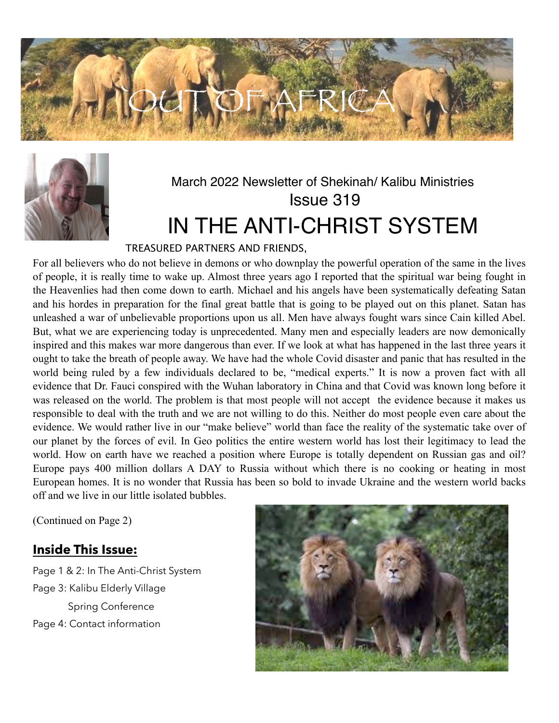



# March 2022 Newsletter of Shekinah/ Kalibu Ministries Issue 319 IN THE ANTI-CHRIST SYSTEM

### TREASURED PARTNERS AND FRIENDS,

For all believers who do not believe in demons or who downplay the powerful operation of the same in the lives of people, it is really time to wake up. Almost three years ago I reported that the spiritual war being fought in the Heavenlies had then come down to earth. Michael and his angels have been systematically defeating Satan and his hordes in preparation for the final great battle that is going to be played out on this planet. Satan has unleashed a war of unbelievable proportions upon us all. Men have always fought wars since Cain killed Abel. But, what we are experiencing today is unprecedented. Many men and especially leaders are now demonically inspired and this makes war more dangerous than ever. If we look at what has happened in the last three years it ought to take the breath of people away. We have had the whole Covid disaster and panic that has resulted in the world being ruled by a few individuals declared to be, "medical experts." It is now a proven fact with all evidence that Dr. Fauci conspired with the Wuhan laboratory in China and that Covid was known long before it was released on the world. The problem is that most people will not accept the evidence because it makes us responsible to deal with the truth and we are not willing to do this. Neither do most people even care about the evidence. We would rather live in our "make believe" world than face the reality of the systematic take over of our planet by the forces of evil. In Geo politics the entire western world has lost their legitimacy to lead the world. How on earth have we reached a position where Europe is totally dependent on Russian gas and oil? Europe pays 400 million dollars A DAY to Russia without which there is no cooking or heating in most European homes. It is no wonder that Russia has been so bold to invade Ukraine and the western world backs off and we live in our little isolated bubbles.

(Continued on Page 2)

### **Inside This Issue:**

Page 1 & 2: In The Anti-Christ System Page 3: Kalibu Elderly Village Spring Conference Page 4: Contact information

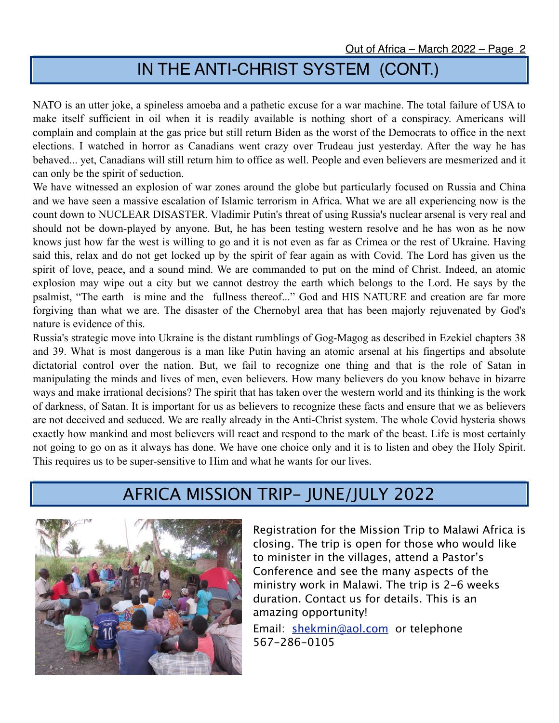# IN THE ANTI-CHRIST SYSTEM (CONT.)

NATO is an utter joke, a spineless amoeba and a pathetic excuse for a war machine. The total failure of USA to make itself sufficient in oil when it is readily available is nothing short of a conspiracy. Americans will complain and complain at the gas price but still return Biden as the worst of the Democrats to office in the next elections. I watched in horror as Canadians went crazy over Trudeau just yesterday. After the way he has behaved... yet, Canadians will still return him to office as well. People and even believers are mesmerized and it can only be the spirit of seduction.

We have witnessed an explosion of war zones around the globe but particularly focused on Russia and China and we have seen a massive escalation of Islamic terrorism in Africa. What we are all experiencing now is the count down to NUCLEAR DISASTER. Vladimir Putin's threat of using Russia's nuclear arsenal is very real and should not be down-played by anyone. But, he has been testing western resolve and he has won as he now knows just how far the west is willing to go and it is not even as far as Crimea or the rest of Ukraine. Having said this, relax and do not get locked up by the spirit of fear again as with Covid. The Lord has given us the spirit of love, peace, and a sound mind. We are commanded to put on the mind of Christ. Indeed, an atomic explosion may wipe out a city but we cannot destroy the earth which belongs to the Lord. He says by the psalmist, "The earth is mine and the fullness thereof..." God and HIS NATURE and creation are far more forgiving than what we are. The disaster of the Chernobyl area that has been majorly rejuvenated by God's nature is evidence of this.

Russia's strategic move into Ukraine is the distant rumblings of Gog-Magog as described in Ezekiel chapters 38 and 39. What is most dangerous is a man like Putin having an atomic arsenal at his fingertips and absolute dictatorial control over the nation. But, we fail to recognize one thing and that is the role of Satan in manipulating the minds and lives of men, even believers. How many believers do you know behave in bizarre ways and make irrational decisions? The spirit that has taken over the western world and its thinking is the work of darkness, of Satan. It is important for us as believers to recognize these facts and ensure that we as believers are not deceived and seduced. We are really already in the Anti-Christ system. The whole Covid hysteria shows exactly how mankind and most believers will react and respond to the mark of the beast. Life is most certainly not going to go on as it always has done. We have one choice only and it is to listen and obey the Holy Spirit. This requires us to be super-sensitive to Him and what he wants for our lives.

## AFRICA MISSION TRIP- JUNE/JULY 2022



Registration for the Mission Trip to Malawi Africa is closing. The trip is open for those who would like to minister in the villages, attend a Pastor's Conference and see the many aspects of the ministry work in Malawi. The trip is 2-6 weeks duration. Contact us for details. This is an amazing opportunity!

Email: [shekmin@aol.com](mailto:shekmin@aol.com) or telephone 567-286-0105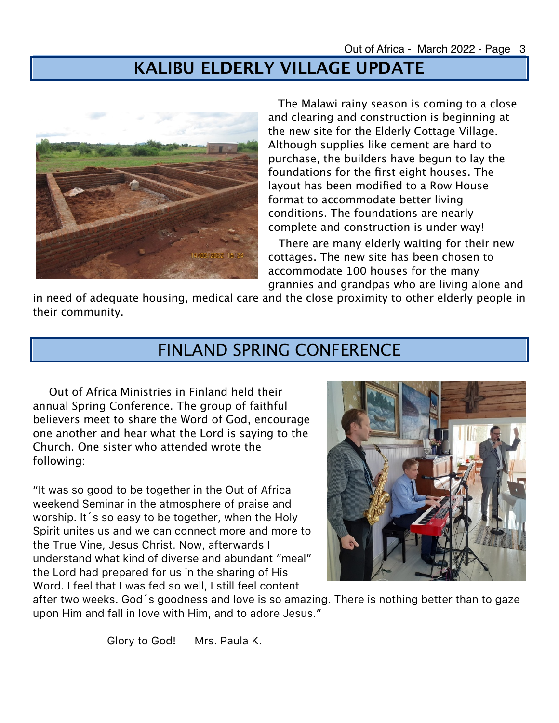# **KALIBU ELDERLY VILLAGE UPDATE**



 The Malawi rainy season is coming to a close and clearing and construction is beginning at the new site for the Elderly Cottage Village. Although supplies like cement are hard to purchase, the builders have begun to lay the foundations for the first eight houses. The layout has been modified to a Row House format to accommodate better living conditions. The foundations are nearly complete and construction is under way!

 There are many elderly waiting for their new cottages. The new site has been chosen to accommodate 100 houses for the many grannies and grandpas who are living alone and

in need of adequate housing, medical care and the close proximity to other elderly people in their community.

## FINLAND SPRING CONFERENCE

 Out of Africa Ministries in Finland held their annual Spring Conference. The group of faithful believers meet to share the Word of God, encourage one another and hear what the Lord is saying to the Church. One sister who attended wrote the following:

"It was so good to be together in the Out of Africa weekend Seminar in the atmosphere of praise and worship. It's so easy to be together, when the Holy Spirit unites us and we can connect more and more to the True Vine, Jesus Christ. Now, afterwards I understand what kind of diverse and abundant "meal" the Lord had prepared for us in the sharing of His Word. I feel that I was fed so well, I still feel content



after two weeks. God´s goodness and love is so amazing. There is nothing better than to gaze upon Him and fall in love with Him, and to adore Jesus."

Glory to God! Mrs. Paula K.